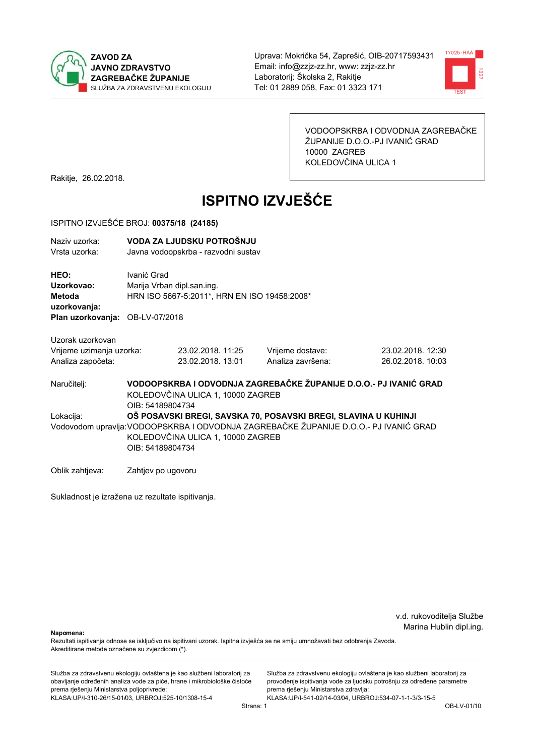



VODOOPSKRBA I ODVODNJA ZAGREBAČKE ŽUPANIJE D.O.O.-PJ IVANIĆ GRAD 10000 ZAGREB KOLEDOVČINA ULICA 1

Rakitje, 26.02.2018.

# **ISPITNO IZVJEŠĆE**

#### ISPITNO IZVJEŠĆE BROJ: 00375/18 (24185)

| Naziv uzorka:<br>Vrsta uzorka:                                                  |                    | VODA ZA LJUDSKU POTROŠNJU<br>Javna vodoopskrba - razvodni sustav           |                                       |                                                                                       |  |
|---------------------------------------------------------------------------------|--------------------|----------------------------------------------------------------------------|---------------------------------------|---------------------------------------------------------------------------------------|--|
| HEO:<br>Uzorkovao:<br>Metoda<br>uzorkovanja:<br>Plan uzorkovanja: OB-LV-07/2018 | Ivanić Grad        | Marija Vrban dipl.san.ing.<br>HRN ISO 5667-5:2011*, HRN EN ISO 19458:2008* |                                       |                                                                                       |  |
|                                                                                 |                    |                                                                            |                                       |                                                                                       |  |
| Uzorak uzorkovan<br>Vrijeme uzimanja uzorka:<br>Analiza započeta:               |                    | 23.02.2018. 11:25<br>23.02.2018. 13:01                                     | Vrijeme dostave:<br>Analiza završena: | 23.02.2018. 12:30<br>26.02.2018. 10:03                                                |  |
| Naručitelj:                                                                     | OIB: 54189804734   | KOLEDOVČINA ULICA 1, 10000 ZAGREB                                          |                                       | VODOOPSKRBA I ODVODNJA ZAGREBAČKE ŽUPANIJE D.O.O.- PJ IVANIĆ GRAD                     |  |
| Lokacija:                                                                       |                    | OŠ POSAVSKI BREGI, SAVSKA 70, POSAVSKI BREGI, SLAVINA U KUHINJI            |                                       |                                                                                       |  |
|                                                                                 | OIB: 54189804734   | KOLEDOVČINA ULICA 1, 10000 ZAGREB                                          |                                       | Vodovodom upravlja: VODOOPSKRBA I ODVODNJA ZAGREBAČKE ŽUPANIJE D.O.O.- PJ IVANIĆ GRAD |  |
| Oblik zahtjeva:                                                                 | Zahtjev po ugovoru |                                                                            |                                       |                                                                                       |  |

Sukladnost je izražena uz rezultate ispitivanja.

v.d. rukovoditelja Službe Marina Hublin dipl.ing.

Napomena:

Rezultati ispitivanja odnose se isključivo na ispitivani uzorak. Ispitna izvješća se ne smiju umnožavati bez odobrenja Zavoda. Akreditirane metode označene su zvjezdicom (\*).

Služba za zdravstvenu ekologiju ovlaštena je kao službeni laboratorij za obavljanje određenih analiza vode za piće, hrane i mikrobiološke čistoće prema rješenju Ministarstva poljoprivrede: KLASA:UP/I-310-26/15-01/03, URBROJ:525-10/1308-15-4

Služba za zdravstvenu ekologiju ovlaštena je kao službeni laboratorij za provođenje ispitivanja vode za ljudsku potrošnju za određene parametre prema rješenju Ministarstva zdravlja: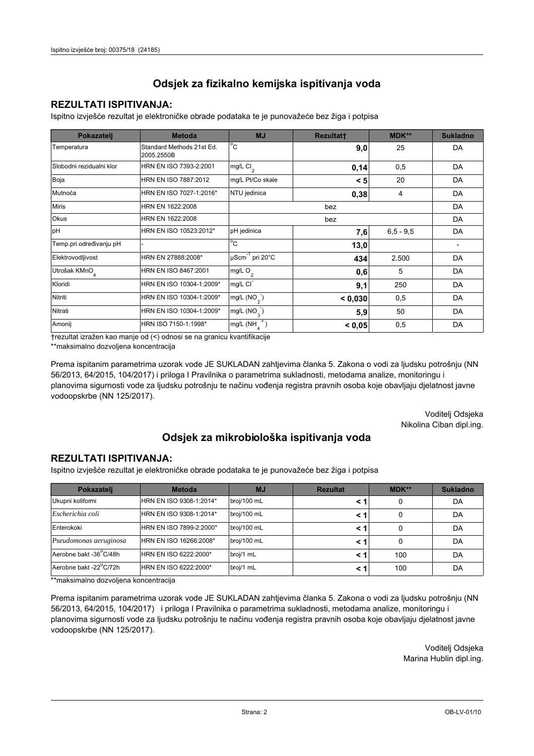### **REZULTATI ISPITIVANJA:**

Ispitno izviešće rezultat je elektroničke obrade podataka te je punovažeće bez žiga i potpisa

| Pokazatelj                | <b>Metoda</b>                           | <b>MJ</b>                   | <b>Rezultatt</b> | <b>MDK**</b>  | <b>Sukladno</b> |
|---------------------------|-----------------------------------------|-----------------------------|------------------|---------------|-----------------|
| Temperatura               | Standard Methods 21st Ed.<br>2005.2550B | $^{\circ}$ C                | 9,0              | 25            | DA              |
| Slobodni rezidualni klor  | HRN EN ISO 7393-2:2001                  | $mg/L$ Cl <sub>2</sub>      | 0,14             | 0,5           | DA              |
| Boja                      | HRN EN ISO 7887:2012                    | mg/L Pt/Co skale            | < 5              | 20            | DA              |
| Mutnoća                   | HRN EN ISO 7027-1:2016*                 | NTU jedinica                | 0,38             | 4             | DA              |
| <b>Miris</b>              | HRN EN 1622:2008                        |                             |                  | DA            |                 |
| Okus                      | HRN EN 1622:2008                        | bez                         |                  |               | DA              |
| pH                        | HRN EN ISO 10523:2012*                  | pH jedinica                 | 7,6              | $6, 5 - 9, 5$ | DA              |
| Temp.pri određivanju pH   |                                         | $^{\circ}$ C                | 13,0             |               |                 |
| Elektrovodljivost         | HRN EN 27888:2008*                      | µScm <sup>-1</sup> pri 20°C | 434              | 2.500         | DA              |
| Utrošak KMnO <sub>4</sub> | HRN EN ISO 8467:2001                    | mg/L O <sub>2</sub>         | 0,6              | 5             | DA              |
| Kloridi                   | HRN EN ISO 10304-1:2009*                | mg/L CI                     | 9,1              | 250           | DA              |
| Nitriti                   | HRN EN ISO 10304-1:2009*                | mg/L $(NO2)$                | < 0.030          | 0,5           | DA              |
| Nitrati                   | HRN EN ISO 10304-1:2009*                | mg/L $(NO_{\alpha})$        | 5,9              | 50            | DA              |
| Amonij                    | HRN ISO 7150-1:1998*                    | mg/L (NH                    | < 0.05           | 0,5           | DA              |

trezultat izražen kao manje od (<) odnosi se na granicu kvantifikacije

\*\*maksimalno dozvoljena koncentracija

Prema ispitanim parametrima uzorak vode JE SUKLADAN zahtjevima članka 5. Zakona o vodi za ljudsku potrošnju (NN 56/2013, 64/2015, 104/2017) i priloga I Pravilnika o parametrima sukladnosti, metodama analize, monitoringu i planovima sigurnosti vode za ljudsku potrošnju te načinu vođenja registra pravnih osoba koje obavljaju djelatnost javne vodoopskrbe (NN 125/2017).

> Voditelj Odsjeka Nikolina Ciban dipl.ing.

## Odsjek za mikrobiološka ispitivanja voda

#### **REZULTATI ISPITIVANJA:**

Ispitno izvješće rezultat je elektroničke obrade podataka te je punovažeće bez žiga i potpisa

| Pokazatelj             | <b>Metoda</b>           | <b>MJ</b>   | <b>Rezultat</b> | $MDK**$ | <b>Sukladno</b> |
|------------------------|-------------------------|-------------|-----------------|---------|-----------------|
| Ukupni kolifomi        | HRN EN ISO 9308-1:2014* | broj/100 mL |                 | 0       | DA              |
| Escherichia coli       | HRN EN ISO 9308-1:2014* | broj/100 mL |                 | 0       | DA              |
| Enterokoki             | HRN EN ISO 7899-2:2000* | broj/100 mL |                 | 0       | DA              |
| Pseudomonas aeruginosa | HRN EN ISO 16266:2008*  | broj/100 mL |                 | 0       | DA              |
| Aerobne bakt -36 C/48h | HRN EN ISO 6222:2000*   | broj/1 mL   |                 | 100     | DA              |
| Aerobne bakt -22°C/72h | HRN EN ISO 6222:2000*   | broj/1 mL   |                 | 100     | DA              |

\*\*maksimalno dozvoljena koncentracija

Prema ispitanim parametrima uzorak vode JE SUKLADAN zahtjevima članka 5. Zakona o vodi za ljudsku potrošnju (NN 56/2013, 64/2015, 104/2017) i priloga I Pravilnika o parametrima sukladnosti, metodama analize, monitoringu i planovima sigurnosti vode za ljudsku potrošnju te načinu vođenja registra pravnih osoba koje obavljaju djelatnost javne vodoopskrbe (NN 125/2017).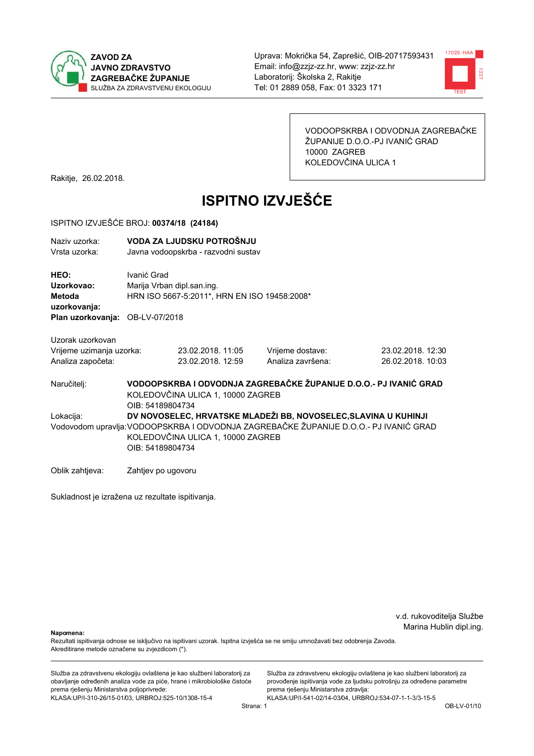



VODOOPSKRBA I ODVODNJA ZAGREBAČKE ŽUPANIJE D.O.O.-PJ IVANIĆ GRAD 10000 ZAGREB KOLEDOVČINA ULICA 1

Rakitje, 26.02.2018.

# **ISPITNO IZVJEŠĆE**

#### ISPITNO IZVJEŠĆE BROJ: 00374/18 (24184)

| Naziv uzorka:<br>Vrsta uzorka:                                                         |                    | VODA ZA LJUDSKU POTROŠNJU<br>Javna vodoopskrba - razvodni sustav           |                                                                                       |                   |
|----------------------------------------------------------------------------------------|--------------------|----------------------------------------------------------------------------|---------------------------------------------------------------------------------------|-------------------|
| HEO:<br>Uzorkovao:<br><b>Metoda</b><br>uzorkovanja:<br>Plan uzorkovanja: OB-LV-07/2018 | Ivanić Grad        | Marija Vrban dipl.san.ing.<br>HRN ISO 5667-5:2011*, HRN EN ISO 19458:2008* |                                                                                       |                   |
|                                                                                        |                    |                                                                            |                                                                                       |                   |
| Uzorak uzorkovan                                                                       |                    |                                                                            |                                                                                       |                   |
| Vrijeme uzimanja uzorka:                                                               |                    | 23.02.2018. 11:05                                                          | Vrijeme dostave:                                                                      | 23.02.2018. 12:30 |
| Analiza započeta:                                                                      |                    | 23.02.2018. 12:59                                                          | Analiza završena:                                                                     | 26.02.2018. 10:03 |
| Naručitelj:                                                                            | OIB: 54189804734   | KOLEDOVČINA ULICA 1, 10000 ZAGREB                                          | VODOOPSKRBA I ODVODNJA ZAGREBAČKE ŽUPANIJE D.O.O.- PJ IVANIĆ GRAD                     |                   |
| Lokacija:                                                                              |                    |                                                                            | DV NOVOSELEC, HRVATSKE MLADEŽI BB, NOVOSELEC, SLAVINA U KUHINJI                       |                   |
|                                                                                        |                    |                                                                            | Vodovodom upravlja: VODOOPSKRBA I ODVODNJA ZAGREBAČKE ŽUPANIJE D.O.O.- PJ IVANIĆ GRAD |                   |
|                                                                                        |                    | KOLEDOVČINA ULICA 1, 10000 ZAGREB                                          |                                                                                       |                   |
|                                                                                        | OIB: 54189804734   |                                                                            |                                                                                       |                   |
| Oblik zahtjeva:                                                                        | Zahtjev po ugovoru |                                                                            |                                                                                       |                   |

Sukladnost je izražena uz rezultate ispitivanja.

v.d. rukovoditelja Službe Marina Hublin dipl.ing.

Napomena:

Rezultati ispitivanja odnose se isključivo na ispitivani uzorak. Ispitna izvješća se ne smiju umnožavati bez odobrenja Zavoda. Akreditirane metode označene su zvjezdicom (\*).

Služba za zdravstvenu ekologiju ovlaštena je kao službeni laboratorij za obavljanje određenih analiza vode za piće, hrane i mikrobiološke čistoće prema rješenju Ministarstva poljoprivrede: KLASA:UP/I-310-26/15-01/03, URBROJ:525-10/1308-15-4

Služba za zdravstvenu ekologiju ovlaštena je kao službeni laboratorij za provođenje ispitivanja vode za ljudsku potrošnju za određene parametre prema rješenju Ministarstva zdravlja: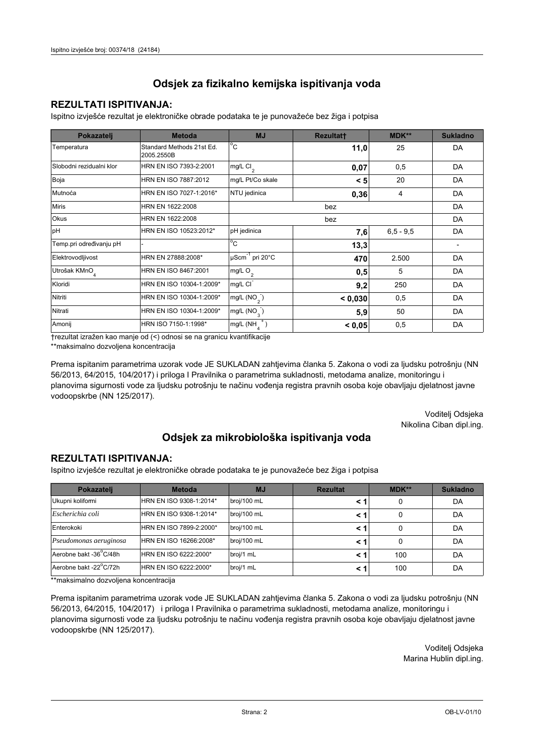### **REZULTATI ISPITIVANJA:**

Ispitno izviešće rezultat je elektroničke obrade podataka te je punovažeće bez žiga i potpisa

| Pokazatelj                | <b>Metoda</b>                           | <b>MJ</b>                        | <b>Rezultatt</b> | <b>MDK**</b>  | <b>Sukladno</b> |
|---------------------------|-----------------------------------------|----------------------------------|------------------|---------------|-----------------|
| Temperatura               | Standard Methods 21st Ed.<br>2005.2550B | $^{\circ}$ C                     | 11,0             | 25            | DA              |
| Slobodni rezidualni klor  | HRN EN ISO 7393-2:2001                  | $mg/L$ Cl <sub>2</sub>           | 0,07             | 0,5           | DA              |
| Boja                      | HRN EN ISO 7887:2012                    | mg/L Pt/Co skale                 | < 5              | 20            | DA              |
| Mutnoća                   | HRN EN ISO 7027-1:2016*                 | NTU jedinica                     | 0,36             | 4             | DA              |
| <b>Miris</b>              | HRN EN 1622:2008                        | bez                              |                  |               | DA              |
| Okus                      | HRN EN 1622:2008                        | bez                              |                  |               | DA              |
| pH                        | HRN EN ISO 10523:2012*                  | pH jedinica                      | 7,6              | $6, 5 - 9, 5$ | DA              |
| Temp.pri određivanju pH   |                                         | $^{\circ}$ C                     | 13,3             |               |                 |
| Elektrovodljivost         | HRN EN 27888:2008*                      | $\mu$ Scm <sup>-1</sup> pri 20°C | 470              | 2.500         | DA              |
| Utrošak KMnO <sub>4</sub> | HRN EN ISO 8467:2001                    | mg/L O <sub>2</sub>              | 0,5              | 5             | DA              |
| Kloridi                   | HRN EN ISO 10304-1:2009*                | mg/L CI                          | 9,2              | 250           | DA              |
| Nitriti                   | HRN EN ISO 10304-1:2009*                | mg/L $(NO2)$                     | < 0.030          | 0,5           | DA              |
| Nitrati                   | HRN EN ISO 10304-1:2009*                | mg/L $(NO_{\alpha}^{-})$         | 5,9              | 50            | DA              |
| Amonij                    | HRN ISO 7150-1:1998*                    | mg/L (NH                         | < 0.05           | 0,5           | DA              |

trezultat izražen kao manje od (<) odnosi se na granicu kvantifikacije

\*\*maksimalno dozvoljena koncentracija

Prema ispitanim parametrima uzorak vode JE SUKLADAN zahtjevima članka 5. Zakona o vodi za ljudsku potrošnju (NN 56/2013, 64/2015, 104/2017) i priloga I Pravilnika o parametrima sukladnosti, metodama analize, monitoringu i planovima sigurnosti vode za ljudsku potrošnju te načinu vođenja registra pravnih osoba koje obavljaju djelatnost javne vodoopskrbe (NN 125/2017).

> Voditelj Odsjeka Nikolina Ciban dipl.ing.

## Odsjek za mikrobiološka ispitivanja voda

#### **REZULTATI ISPITIVANJA:**

Ispitno izvješće rezultat je elektroničke obrade podataka te je punovažeće bez žiga i potpisa

| Pokazatelj             | <b>Metoda</b>           | <b>MJ</b>   | <b>Rezultat</b> | MDK** | <b>Sukladno</b> |
|------------------------|-------------------------|-------------|-----------------|-------|-----------------|
| Ukupni kolifomi        | HRN EN ISO 9308-1:2014* | broj/100 mL |                 | 0     | DA              |
| Escherichia coli       | HRN EN ISO 9308-1:2014* | broj/100 mL | < 1             | 0     | DA              |
| Enterokoki             | HRN EN ISO 7899-2:2000* | broj/100 mL | < '             |       | DA              |
| Pseudomonas aeruginosa | HRN EN ISO 16266:2008*  | broj/100 mL | < 1             | 0     | DA              |
| Aerobne bakt -36 C/48h | HRN EN ISO 6222:2000*   | broj/1 mL   | < '             | 100   | DA              |
| Aerobne bakt -22°C/72h | HRN EN ISO 6222:2000*   | broj/1 mL   | < 1             | 100   | DA              |

\*\*maksimalno dozvoljena koncentracija

Prema ispitanim parametrima uzorak vode JE SUKLADAN zahtjevima članka 5. Zakona o vodi za ljudsku potrošnju (NN 56/2013, 64/2015, 104/2017) i priloga I Pravilnika o parametrima sukladnosti, metodama analize, monitoringu i planovima sigurnosti vode za ljudsku potrošnju te načinu vođenja registra pravnih osoba koje obavljaju djelatnost javne vodoopskrbe (NN 125/2017).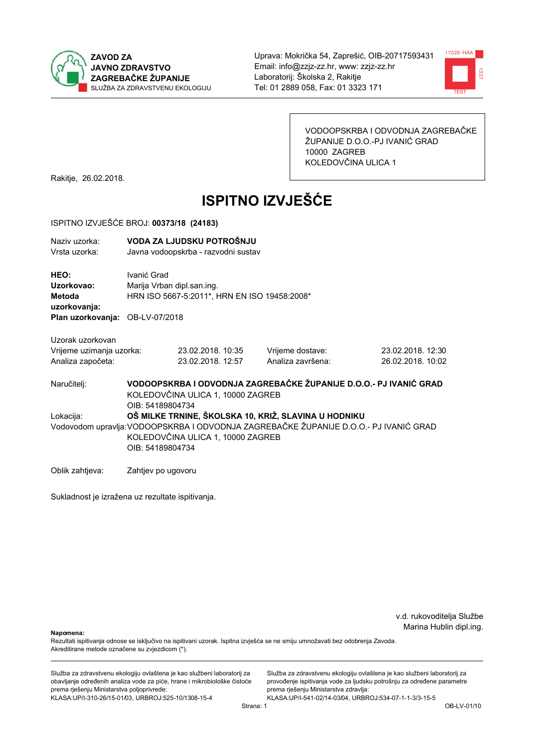



VODOOPSKRBA I ODVODNJA ZAGREBAČKE ŽUPANIJE D.O.O.-PJ IVANIĆ GRAD 10000 ZAGREB KOLEDOVČINA ULICA 1

Rakitje, 26.02.2018.

# **ISPITNO IZVJEŠĆE**

#### ISPITNO IZVJEŠĆE BROJ: 00373/18 (24183)

| Naziv uzorka:<br>Vrsta uzorka:               |                    | VODA ZA LJUDSKU POTROŠNJU<br>Javna vodoopskrba - razvodni sustav           |                   |                                                                                       |  |
|----------------------------------------------|--------------------|----------------------------------------------------------------------------|-------------------|---------------------------------------------------------------------------------------|--|
| HEO:<br>Uzorkovao:<br>Metoda<br>uzorkovanja: | Ivanić Grad        | Marija Vrban dipl.san.ing.<br>HRN ISO 5667-5:2011*, HRN EN ISO 19458:2008* |                   |                                                                                       |  |
| Plan uzorkovanja: OB-LV-07/2018              |                    |                                                                            |                   |                                                                                       |  |
| Uzorak uzorkovan                             |                    |                                                                            |                   |                                                                                       |  |
| Vrijeme uzimanja uzorka:                     |                    | 23.02.2018. 10:35                                                          | Vrijeme dostave:  | 23.02.2018. 12:30                                                                     |  |
| Analiza započeta:                            |                    | 23.02.2018. 12:57                                                          | Analiza završena: | 26.02.2018. 10:02                                                                     |  |
| Naručitelj:                                  | OIB: 54189804734   | KOLEDOVČINA ULICA 1, 10000 ZAGREB                                          |                   | VODOOPSKRBA I ODVODNJA ZAGREBAČKE ŽUPANIJE D.O.O.- PJ IVANIĆ GRAD                     |  |
| Lokacija:                                    |                    | OŠ MILKE TRNINE, ŠKOLSKA 10, KRIŽ, SLAVINA U HODNIKU                       |                   |                                                                                       |  |
|                                              |                    |                                                                            |                   | Vodovodom upravlja: VODOOPSKRBA I ODVODNJA ZAGREBAČKE ŽUPANIJE D.O.O.- PJ IVANIĆ GRAD |  |
|                                              |                    | KOLEDOVČINA ULICA 1, 10000 ZAGREB                                          |                   |                                                                                       |  |
|                                              | OIB: 54189804734   |                                                                            |                   |                                                                                       |  |
| Oblik zahtjeva:                              | Zahtjev po ugovoru |                                                                            |                   |                                                                                       |  |

Sukladnost je izražena uz rezultate ispitivanja.

v.d. rukovoditelja Službe Marina Hublin dipl.ing.

Napomena:

Rezultati ispitivanja odnose se isključivo na ispitivani uzorak. Ispitna izvješća se ne smiju umnožavati bez odobrenja Zavoda. Akreditirane metode označene su zvjezdicom (\*).

Služba za zdravstvenu ekologiju ovlaštena je kao službeni laboratorij za obavljanje određenih analiza vode za piće, hrane i mikrobiološke čistoće prema rješenju Ministarstva poljoprivrede: KLASA:UP/I-310-26/15-01/03, URBROJ:525-10/1308-15-4

Služba za zdravstvenu ekologiju ovlaštena je kao službeni laboratorij za provođenje ispitivanja vode za ljudsku potrošnju za određene parametre prema rješenju Ministarstva zdravlja: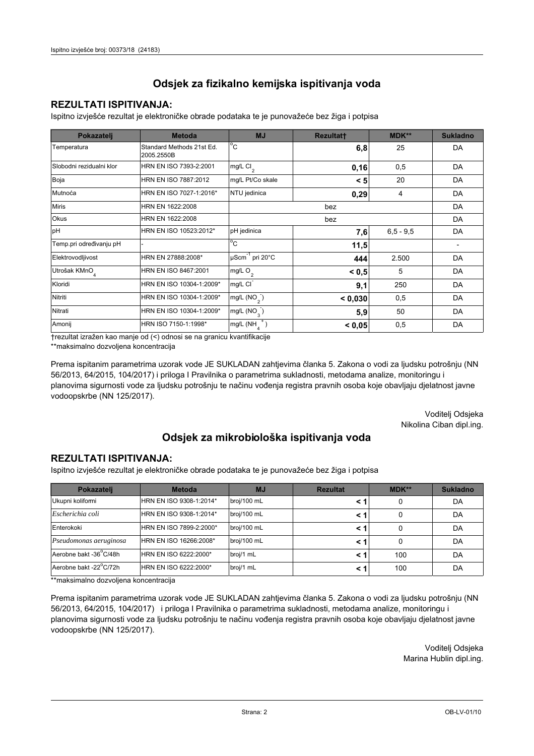### **REZULTATI ISPITIVANJA:**

Ispitno izviešće rezultat je elektroničke obrade podataka te je punovažeće bez žiga i potpisa

| Pokazatelj                | <b>Metoda</b>                           | <b>MJ</b>                   | <b>Rezultatt</b> | <b>MDK**</b>  | <b>Sukladno</b> |
|---------------------------|-----------------------------------------|-----------------------------|------------------|---------------|-----------------|
| Temperatura               | Standard Methods 21st Ed.<br>2005.2550B | $^{\circ}$ C                | 6,8              | 25            | DA              |
| Slobodni rezidualni klor  | HRN EN ISO 7393-2:2001                  | $mg/L$ Cl <sub>2</sub>      | 0,16             | 0,5           | DA              |
| Boja                      | HRN EN ISO 7887:2012                    | mg/L Pt/Co skale            | < 5              | 20            | DA              |
| Mutnoća                   | HRN EN ISO 7027-1:2016*                 | NTU jedinica                | 0,29             | 4             | DA              |
| <b>Miris</b>              | HRN EN 1622:2008                        | bez                         |                  |               | DA              |
| Okus                      | HRN EN 1622:2008                        | bez                         |                  |               | DA              |
| pH                        | HRN EN ISO 10523:2012*                  | pH jedinica                 | 7,6              | $6, 5 - 9, 5$ | DA              |
| Temp.pri određivanju pH   |                                         | $^{\circ}$ C                | 11,5             |               |                 |
| Elektrovodljivost         | HRN EN 27888:2008*                      | µScm <sup>-1</sup> pri 20°C | 444              | 2.500         | DA              |
| Utrošak KMnO <sub>4</sub> | HRN EN ISO 8467:2001                    | mg/L O <sub>2</sub>         | < 0, 5           | 5             | DA              |
| Kloridi                   | HRN EN ISO 10304-1:2009*                | mg/L CI                     | 9,1              | 250           | DA              |
| Nitriti                   | HRN EN ISO 10304-1:2009*                | mg/L $(NO2)$                | < 0,030          | 0,5           | DA              |
| Nitrati                   | HRN EN ISO 10304-1:2009*                | mg/L $(NO_{\alpha}^{-})$    | 5,9              | 50            | DA              |
| Amonij                    | HRN ISO 7150-1:1998*                    | mg/L (NH                    | < 0.05           | 0,5           | DA              |

trezultat izražen kao manje od (<) odnosi se na granicu kvantifikacije

\*\*maksimalno dozvoljena koncentracija

Prema ispitanim parametrima uzorak vode JE SUKLADAN zahtjevima članka 5. Zakona o vodi za ljudsku potrošnju (NN 56/2013, 64/2015, 104/2017) i priloga I Pravilnika o parametrima sukladnosti, metodama analize, monitoringu i planovima sigurnosti vode za ljudsku potrošnju te načinu vođenja registra pravnih osoba koje obavljaju djelatnost javne vodoopskrbe (NN 125/2017).

> Voditelj Odsjeka Nikolina Ciban dipl.ing.

## Odsjek za mikrobiološka ispitivanja voda

#### **REZULTATI ISPITIVANJA:**

Ispitno izvješće rezultat je elektroničke obrade podataka te je punovažeće bez žiga i potpisa

| Pokazatelj             | <b>Metoda</b>           | <b>MJ</b>   | <b>Rezultat</b> | MDK** | <b>Sukladno</b> |
|------------------------|-------------------------|-------------|-----------------|-------|-----------------|
| Ukupni kolifomi        | HRN EN ISO 9308-1:2014* | broj/100 mL |                 | 0     | DA              |
| Escherichia coli       | HRN EN ISO 9308-1:2014* | broj/100 mL | < 1             | 0     | DA              |
| Enterokoki             | HRN EN ISO 7899-2:2000* | broj/100 mL | < '             |       | DA              |
| Pseudomonas aeruginosa | HRN EN ISO 16266:2008*  | broj/100 mL | < 1             | 0     | DA              |
| Aerobne bakt -36 C/48h | HRN EN ISO 6222:2000*   | broj/1 mL   | < '             | 100   | DA              |
| Aerobne bakt -22°C/72h | HRN EN ISO 6222:2000*   | broj/1 mL   | < 1             | 100   | DA              |

\*\*maksimalno dozvoljena koncentracija

Prema ispitanim parametrima uzorak vode JE SUKLADAN zahtjevima članka 5. Zakona o vodi za ljudsku potrošnju (NN 56/2013, 64/2015, 104/2017) i priloga I Pravilnika o parametrima sukladnosti, metodama analize, monitoringu i planovima sigurnosti vode za ljudsku potrošnju te načinu vođenja registra pravnih osoba koje obavljaju djelatnost javne vodoopskrbe (NN 125/2017).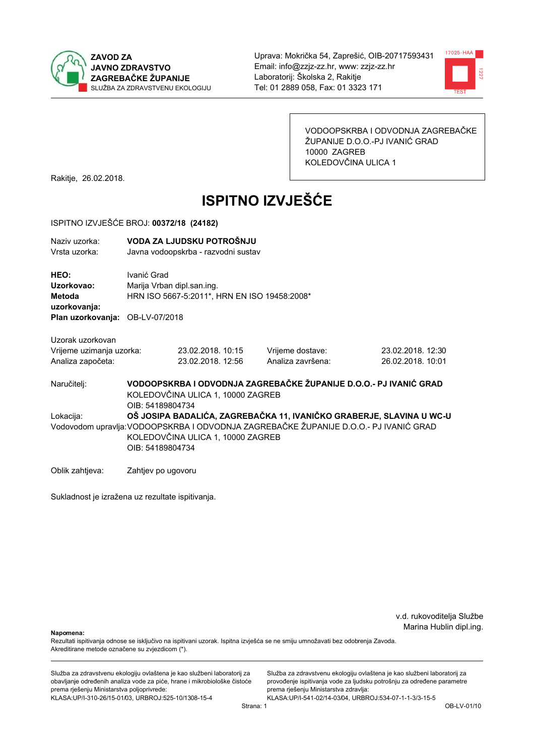



VODOOPSKRBA I ODVODNJA ZAGREBAČKE ŽUPANIJE D.O.O.-PJ IVANIĆ GRAD 10000 ZAGREB KOLEDOVČINA ULICA 1

Rakitje, 26.02.2018.

# **ISPITNO IZVJEŠĆE**

#### ISPITNO IZVJEŠĆE BROJ: 00372/18 (24182)

| Naziv uzorka:<br>Vrsta uzorka:                                           |                    | VODA ZA LJUDSKU POTROŠNJU<br>Javna vodoopskrba - razvodni sustav                            |                                                                                       |                   |  |
|--------------------------------------------------------------------------|--------------------|---------------------------------------------------------------------------------------------|---------------------------------------------------------------------------------------|-------------------|--|
| HEO:<br>Uzorkovao:<br><b>Metoda</b><br>uzorkovanja:<br>Plan uzorkovanja: | Ivanić Grad        | Marija Vrban dipl.san.ing.<br>HRN ISO 5667-5:2011*, HRN EN ISO 19458:2008*<br>OB-LV-07/2018 |                                                                                       |                   |  |
| Uzorak uzorkovan                                                         |                    |                                                                                             |                                                                                       |                   |  |
| Vrijeme uzimanja uzorka:                                                 |                    | 23.02.2018. 10:15                                                                           | Vrijeme dostave:                                                                      | 23.02.2018. 12:30 |  |
| Analiza započeta:                                                        |                    | 23.02.2018. 12:56                                                                           | Analiza završena:                                                                     | 26.02.2018. 10:01 |  |
| Naručitelj:                                                              | OIB: 54189804734   | KOLEDOVČINA ULICA 1, 10000 ZAGREB                                                           | VODOOPSKRBA I ODVODNJA ZAGREBAČKE ŽUPANIJE D.O.O.- PJ IVANIĆ GRAD                     |                   |  |
| Lokacija:                                                                |                    |                                                                                             | OŠ JOSIPA BADALIĆA, ZAGREBAČKA 11, IVANIČKO GRABERJE, SLAVINA U WC-U                  |                   |  |
|                                                                          | OIB: 54189804734   | KOLEDOVČINA ULICA 1, 10000 ZAGREB                                                           | Vodovodom upravlja: VODOOPSKRBA I ODVODNJA ZAGREBAČKE ŽUPANIJE D.O.O.- PJ IVANIĆ GRAD |                   |  |
| Oblik zahtjeva:                                                          | Zahtjev po ugovoru |                                                                                             |                                                                                       |                   |  |

Sukladnost je izražena uz rezultate ispitivanja.

v.d. rukovoditelja Službe Marina Hublin dipl.ing.

Napomena:

Rezultati ispitivanja odnose se isključivo na ispitivani uzorak. Ispitna izvješća se ne smiju umnožavati bez odobrenja Zavoda. Akreditirane metode označene su zvjezdicom (\*).

Služba za zdravstvenu ekologiju ovlaštena je kao službeni laboratorij za obavljanje određenih analiza vode za piće, hrane i mikrobiološke čistoće prema rješenju Ministarstva poljoprivrede: KLASA:UP/I-310-26/15-01/03, URBROJ:525-10/1308-15-4

Služba za zdravstvenu ekologiju ovlaštena je kao službeni laboratorij za provođenje ispitivanja vode za ljudsku potrošnju za određene parametre prema rješenju Ministarstva zdravlja: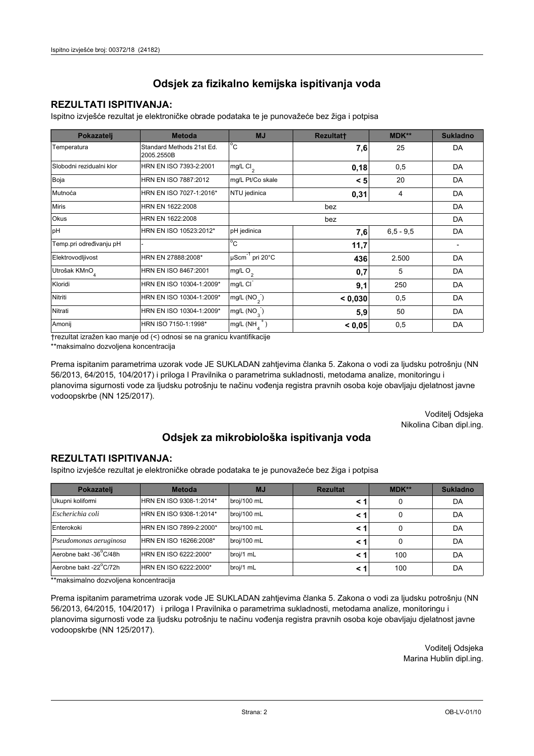### **REZULTATI ISPITIVANJA:**

Ispitno izviešće rezultat je elektroničke obrade podataka te je punovažeće bez žiga i potpisa

| Pokazatelj                | <b>Metoda</b>                           | <b>MJ</b>                   | <b>Rezultatt</b> | <b>MDK**</b> | <b>Sukladno</b> |
|---------------------------|-----------------------------------------|-----------------------------|------------------|--------------|-----------------|
| Temperatura               | Standard Methods 21st Ed.<br>2005.2550B | $^{\circ}$ C                | 7,6              | 25           | DA              |
| Slobodni rezidualni klor  | HRN EN ISO 7393-2:2001                  | $mg/L$ Cl <sub>2</sub>      | 0,18             | 0,5          | DA              |
| Boja                      | HRN EN ISO 7887:2012                    | mg/L Pt/Co skale            | < 5              | 20           | DA              |
| Mutnoća                   | HRN EN ISO 7027-1:2016*                 | NTU jedinica                | 0,31             | 4            | DA              |
| <b>Miris</b>              | HRN EN 1622:2008                        |                             | DA               |              |                 |
| <b>Okus</b>               | HRN EN 1622:2008                        | bez                         |                  |              | DA              |
| pH                        | HRN EN ISO 10523:2012*                  | pH jedinica                 | 7,6              | $6,5 - 9,5$  | DA              |
| Temp.pri određivanju pH   |                                         | $^{\circ}$ C                | 11,7             |              |                 |
| Elektrovodljivost         | HRN EN 27888:2008*                      | µScm <sup>-1</sup> pri 20°C | 436              | 2.500        | DA              |
| Utrošak KMnO <sub>4</sub> | HRN EN ISO 8467:2001                    | mg/L O <sub>2</sub>         | 0,7              | 5            | DA              |
| Kloridi                   | HRN EN ISO 10304-1:2009*                | mg/L CI                     | 9,1              | 250          | DA              |
| Nitriti                   | HRN EN ISO 10304-1:2009*                | mg/L (NO <sub>2</sub> )     | < 0,030          | 0,5          | DA              |
| Nitrati                   | HRN EN ISO 10304-1:2009*                | mg/L $(NO_{\alpha})$        | 5,9              | 50           | DA              |
| Amonij                    | HRN ISO 7150-1:1998*                    | mg/L (NH                    | < 0.05           | 0,5          | DA              |

trezultat izražen kao manje od (<) odnosi se na granicu kvantifikacije

\*\*maksimalno dozvoljena koncentracija

Prema ispitanim parametrima uzorak vode JE SUKLADAN zahtjevima članka 5. Zakona o vodi za ljudsku potrošnju (NN 56/2013, 64/2015, 104/2017) i priloga I Pravilnika o parametrima sukladnosti, metodama analize, monitoringu i planovima sigurnosti vode za ljudsku potrošnju te načinu vođenja registra pravnih osoba koje obavljaju djelatnost javne vodoopskrbe (NN 125/2017).

> Voditelj Odsjeka Nikolina Ciban dipl.ing.

## Odsjek za mikrobiološka ispitivanja voda

#### **REZULTATI ISPITIVANJA:**

Ispitno izvješće rezultat je elektroničke obrade podataka te je punovažeće bez žiga i potpisa

| Pokazatelj             | <b>Metoda</b>           | <b>MJ</b>   | <b>Rezultat</b> | $MDK**$ | <b>Sukladno</b> |
|------------------------|-------------------------|-------------|-----------------|---------|-----------------|
| Ukupni kolifomi        | HRN EN ISO 9308-1:2014* | broj/100 mL |                 | 0       | DA              |
| Escherichia coli       | HRN EN ISO 9308-1:2014* | broj/100 mL |                 | 0       | DA              |
| Enterokoki             | HRN EN ISO 7899-2:2000* | broj/100 mL |                 | 0       | DA              |
| Pseudomonas aeruginosa | HRN EN ISO 16266:2008*  | broj/100 mL |                 | 0       | DA              |
| Aerobne bakt -36 C/48h | HRN EN ISO 6222:2000*   | broj/1 mL   |                 | 100     | DA              |
| Aerobne bakt -22°C/72h | HRN EN ISO 6222:2000*   | broj/1 mL   |                 | 100     | DA              |

\*\*maksimalno dozvoljena koncentracija

Prema ispitanim parametrima uzorak vode JE SUKLADAN zahtjevima članka 5. Zakona o vodi za ljudsku potrošnju (NN 56/2013, 64/2015, 104/2017) i priloga I Pravilnika o parametrima sukladnosti, metodama analize, monitoringu i planovima sigurnosti vode za ljudsku potrošnju te načinu vođenja registra pravnih osoba koje obavljaju djelatnost javne vodoopskrbe (NN 125/2017).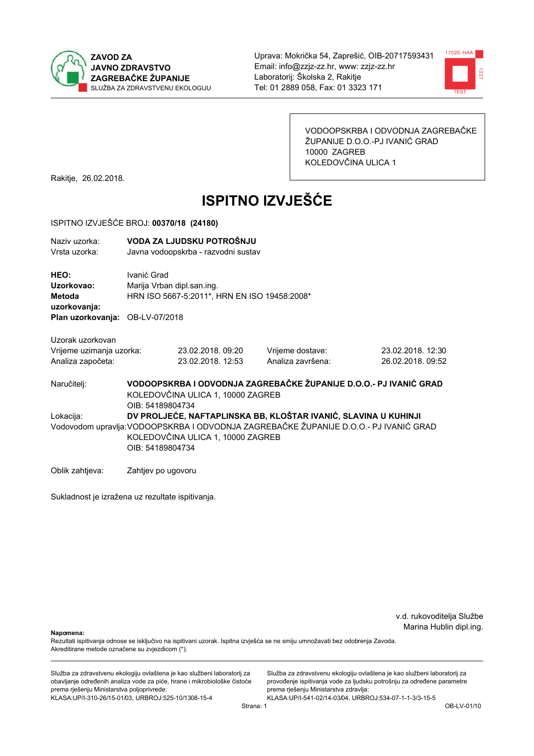



VODOOPSKRBA I ODVODNJA ZAGREBAČKE ŽUPANIJE D.O.O.-PJ IVANIĆ GRAD 10000 ZAGREB KOLEDOVČINA ULICA 1

Rakitje, 26.02.2018.

# **ISPITNO IZVJEŠĆE**

#### ISPITNO IZVJEŠĆE BROJ: 00370/18 (24180)

| Naziv uzorka:<br>Vrsta uzorka:                                                         |                    | VODA ZA LJUDSKU POTROŠNJU<br>Javna vodoopskrba - razvodni sustav                                                                                                                                                  |                                                                   |                                        |  |  |
|----------------------------------------------------------------------------------------|--------------------|-------------------------------------------------------------------------------------------------------------------------------------------------------------------------------------------------------------------|-------------------------------------------------------------------|----------------------------------------|--|--|
| HEO:<br>Uzorkovao:<br><b>Metoda</b><br>uzorkovanja:<br>Plan uzorkovanja: OB-LV-07/2018 | Ivanić Grad        | Marija Vrban dipl.san.ing.<br>HRN ISO 5667-5:2011*, HRN EN ISO 19458:2008*                                                                                                                                        |                                                                   |                                        |  |  |
| Uzorak uzorkovan<br>Vrijeme uzimanja uzorka:<br>Analiza započeta:                      |                    | 23.02.2018, 09:20<br>23.02.2018. 12:53                                                                                                                                                                            | Vrijeme dostave:<br>Analiza završena:                             | 23.02.2018. 12:30<br>26.02.2018. 09:52 |  |  |
| Naručitelj:                                                                            | OIB: 54189804734   | KOLEDOVČINA ULICA 1, 10000 ZAGREB                                                                                                                                                                                 | VODOOPSKRBA I ODVODNJA ZAGREBAČKE ŽUPANIJE D.O.O.- PJ IVANIĆ GRAD |                                        |  |  |
| Lokacija:                                                                              |                    | DV PROLJEĆE, NAFTAPLINSKA BB, KLOŠTAR IVANIĆ, SLAVINA U KUHINJI<br>Vodovodom upravlja: VODOOPSKRBA I ODVODNJA ZAGREBAČKE ŽUPANIJE D.O.O.- PJ IVANIĆ GRAD<br>KOLEDOVČINA ULICA 1, 10000 ZAGREB<br>OIB: 54189804734 |                                                                   |                                        |  |  |
| Oblik zahtjeva:                                                                        | Zahtjev po ugovoru |                                                                                                                                                                                                                   |                                                                   |                                        |  |  |

Sukladnost je izražena uz rezultate ispitivanja.

v.d. rukovoditelja Službe Marina Hublin dipl.ing.

Napomena:

Rezultati ispitivanja odnose se isključivo na ispitivani uzorak. Ispitna izvješća se ne smiju umnožavati bez odobrenja Zavoda. Akreditirane metode označene su zvjezdicom (\*).

Služba za zdravstvenu ekologiju ovlaštena je kao službeni laboratorij za obavljanje određenih analiza vode za piće, hrane i mikrobiološke čistoće prema rješenju Ministarstva poljoprivrede: KLASA:UP/I-310-26/15-01/03, URBROJ:525-10/1308-15-4

Služba za zdravstvenu ekologiju ovlaštena je kao službeni laboratorij za provođenje ispitivanja vode za ljudsku potrošnju za određene parametre prema rješenju Ministarstva zdravlja: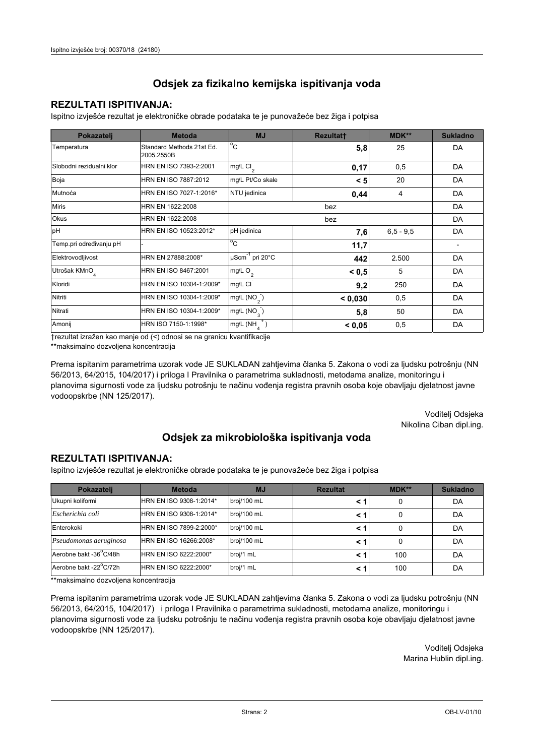### **REZULTATI ISPITIVANJA:**

Ispitno izviešće rezultat je elektroničke obrade podataka te je punovažeće bez žiga i potpisa

| Pokazatelj                | <b>Metoda</b>                           | <b>MJ</b>                   | Rezultatt | <b>MDK**</b>  | <b>Sukladno</b> |
|---------------------------|-----------------------------------------|-----------------------------|-----------|---------------|-----------------|
| Temperatura               | Standard Methods 21st Ed.<br>2005.2550B | $^{\circ}$ C                | 5,8       | 25            | DA              |
| Slobodni rezidualni klor  | HRN EN ISO 7393-2:2001                  | $mg/L$ Cl <sub>2</sub>      | 0,17      | 0,5           | DA              |
| Boja                      | HRN EN ISO 7887:2012                    | mg/L Pt/Co skale            | < 5       | 20            | DA              |
| Mutnoća                   | HRN EN ISO 7027-1:2016*                 | NTU jedinica                | 0,44      | 4             | DA              |
| <b>Miris</b>              | HRN EN 1622:2008                        |                             |           | DA            |                 |
| <b>Okus</b>               | HRN EN 1622:2008                        |                             |           | DA            |                 |
| pH                        | HRN EN ISO 10523:2012*                  | pH jedinica                 | 7,6       | $6, 5 - 9, 5$ | DA              |
| Temp.pri određivanju pH   |                                         | $^{\circ}$ C                | 11,7      |               |                 |
| Elektrovodljivost         | HRN EN 27888:2008*                      | µScm <sup>-1</sup> pri 20°C | 442       | 2.500         | DA              |
| Utrošak KMnO <sub>4</sub> | HRN EN ISO 8467:2001                    | mg/L $O2$                   | < 0, 5    | 5             | DA              |
| Kloridi                   | HRN EN ISO 10304-1:2009*                | mg/L CI                     | 9,2       | 250           | DA              |
| Nitriti                   | HRN EN ISO 10304-1:2009*                | mg/L $(NO2)$                | < 0.030   | 0,5           | DA              |
| Nitrati                   | HRN EN ISO 10304-1:2009*                | mg/L $(NO_{\alpha})$        | 5,8       | 50            | DA              |
| Amonij                    | HRN ISO 7150-1:1998*                    | mg/L (NH                    | < 0,05    | 0,5           | DA              |

trezultat izražen kao manje od (<) odnosi se na granicu kvantifikacije

\*\*maksimalno dozvoljena koncentracija

Prema ispitanim parametrima uzorak vode JE SUKLADAN zahtjevima članka 5. Zakona o vodi za ljudsku potrošnju (NN 56/2013, 64/2015, 104/2017) i priloga I Pravilnika o parametrima sukladnosti, metodama analize, monitoringu i planovima sigurnosti vode za ljudsku potrošnju te načinu vođenja registra pravnih osoba koje obavljaju djelatnost javne vodoopskrbe (NN 125/2017).

> Voditelj Odsjeka Nikolina Ciban dipl.ing.

## Odsjek za mikrobiološka ispitivanja voda

#### **REZULTATI ISPITIVANJA:**

Ispitno izvješće rezultat je elektroničke obrade podataka te je punovažeće bez žiga i potpisa

| Pokazatelj             | <b>Metoda</b>           | <b>MJ</b>   | <b>Rezultat</b> | MDK** | <b>Sukladno</b> |
|------------------------|-------------------------|-------------|-----------------|-------|-----------------|
| Ukupni kolifomi        | HRN EN ISO 9308-1:2014* | broj/100 mL |                 | 0     | DA              |
| Escherichia coli       | HRN EN ISO 9308-1:2014* | broj/100 mL | < 1             | 0     | DA              |
| Enterokoki             | HRN EN ISO 7899-2:2000* | broj/100 mL | < '             |       | DA              |
| Pseudomonas aeruginosa | HRN EN ISO 16266:2008*  | broj/100 mL | < 1             | 0     | DA              |
| Aerobne bakt -36 C/48h | HRN EN ISO 6222:2000*   | broj/1 mL   | < '             | 100   | DA              |
| Aerobne bakt -22°C/72h | HRN EN ISO 6222:2000*   | broj/1 mL   | < 1             | 100   | DA              |

\*\*maksimalno dozvoljena koncentracija

Prema ispitanim parametrima uzorak vode JE SUKLADAN zahtjevima članka 5. Zakona o vodi za ljudsku potrošnju (NN 56/2013, 64/2015, 104/2017) i priloga I Pravilnika o parametrima sukladnosti, metodama analize, monitoringu i planovima sigurnosti vode za ljudsku potrošnju te načinu vođenja registra pravnih osoba koje obavljaju djelatnost javne vodoopskrbe (NN 125/2017).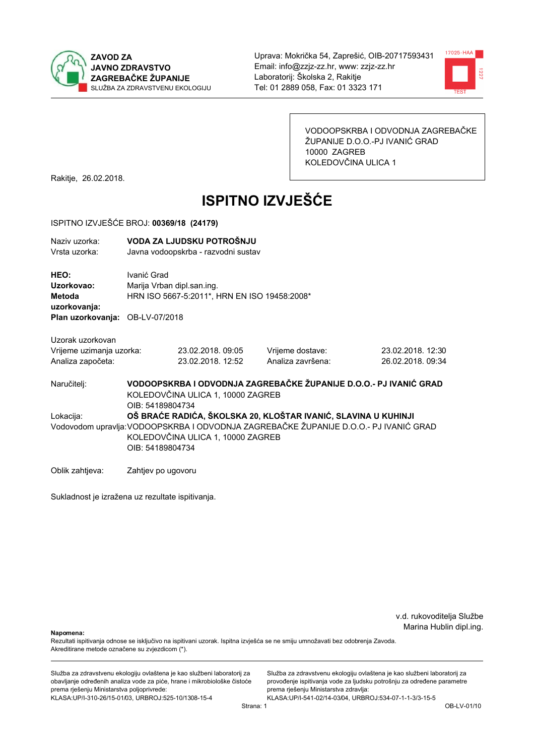



VODOOPSKRBA I ODVODNJA ZAGREBAČKE ŽUPANIJE D.O.O.-PJ IVANIĆ GRAD 10000 ZAGREB KOLEDOVČINA ULICA 1

Rakitje, 26.02.2018.

# **ISPITNO IZVJEŠĆE**

#### ISPITNO IZVJEŠĆE BROJ: 00369/18 (24179)

| Naziv uzorka:<br>Vrsta uzorka:                                                         |                                                                                                                                                                                                                  | VODA ZA LJUDSKU POTROŠNJU<br>Javna vodoopskrba - razvodni sustav           |                                       |                                                                   |  |
|----------------------------------------------------------------------------------------|------------------------------------------------------------------------------------------------------------------------------------------------------------------------------------------------------------------|----------------------------------------------------------------------------|---------------------------------------|-------------------------------------------------------------------|--|
| HEO:<br>Uzorkovao:<br><b>Metoda</b><br>uzorkovanja:<br>Plan uzorkovanja: OB-LV-07/2018 | Ivanić Grad                                                                                                                                                                                                      | Marija Vrban dipl.san.ing.<br>HRN ISO 5667-5:2011*, HRN EN ISO 19458:2008* |                                       |                                                                   |  |
| Uzorak uzorkovan                                                                       |                                                                                                                                                                                                                  |                                                                            |                                       |                                                                   |  |
| Vrijeme uzimanja uzorka:<br>Analiza započeta:                                          |                                                                                                                                                                                                                  | 23.02.2018, 09:05<br>23.02.2018. 12:52                                     | Vrijeme dostave:<br>Analiza završena: | 23.02.2018. 12:30<br>26.02.2018. 09:34                            |  |
| Naručitelj:                                                                            | OIB: 54189804734                                                                                                                                                                                                 | KOLEDOVČINA ULICA 1, 10000 ZAGREB                                          |                                       | VODOOPSKRBA I ODVODNJA ZAGREBAČKE ŽUPANIJE D.O.O.- PJ IVANIĆ GRAD |  |
| Lokacija:                                                                              | OŠ BRAĆE RADIĆA, ŠKOLSKA 20, KLOŠTAR IVANIĆ, SLAVINA U KUHINJI<br>Vodovodom upravlja: VODOOPSKRBA I ODVODNJA ZAGREBAČKE ŽUPANIJE D.O.O.- PJ IVANIĆ GRAD<br>KOLEDOVČINA ULICA 1, 10000 ZAGREB<br>OIB: 54189804734 |                                                                            |                                       |                                                                   |  |
| Oblik zahtjeva:                                                                        | Zahtjev po ugovoru                                                                                                                                                                                               |                                                                            |                                       |                                                                   |  |

Sukladnost je izražena uz rezultate ispitivanja.

v.d. rukovoditelja Službe Marina Hublin dipl.ing.

Napomena:

Rezultati ispitivanja odnose se isključivo na ispitivani uzorak. Ispitna izvješća se ne smiju umnožavati bez odobrenja Zavoda. Akreditirane metode označene su zvjezdicom (\*).

Služba za zdravstvenu ekologiju ovlaštena je kao službeni laboratorij za obavljanje određenih analiza vode za piće, hrane i mikrobiološke čistoće prema rješenju Ministarstva poljoprivrede: KLASA:UP/I-310-26/15-01/03, URBROJ:525-10/1308-15-4

Služba za zdravstvenu ekologiju ovlaštena je kao službeni laboratorij za provođenje ispitivanja vode za ljudsku potrošnju za određene parametre prema rješenju Ministarstva zdravlja: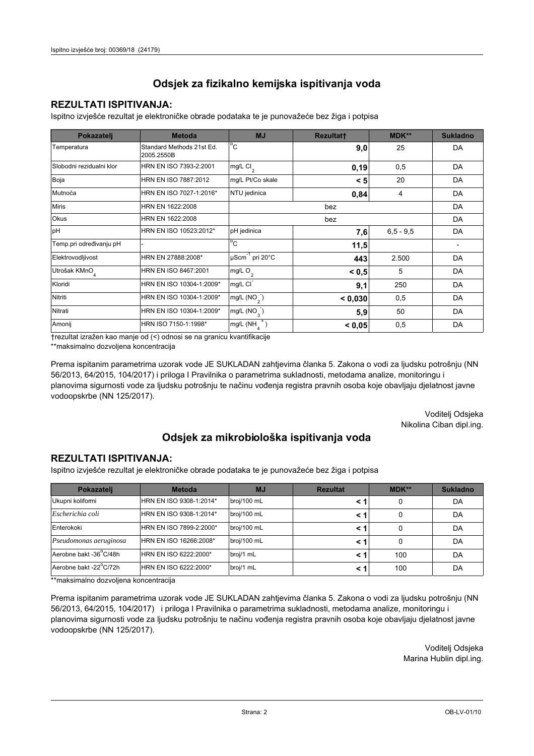### **REZULTATI ISPITIVANJA:**

Ispitno izviešće rezultat je elektroničke obrade podataka te je punovažeće bez žiga i potpisa

| Pokazatelj                | <b>Metoda</b>                           | <b>MJ</b>                   | <b>Rezultatt</b> | <b>MDK**</b>  | <b>Sukladno</b> |
|---------------------------|-----------------------------------------|-----------------------------|------------------|---------------|-----------------|
| Temperatura               | Standard Methods 21st Ed.<br>2005.2550B | $^{\circ}$ C                | 9,0              | 25            | DA              |
| Slobodni rezidualni klor  | HRN EN ISO 7393-2:2001                  | $mg/L$ Cl <sub>2</sub>      | 0,19             | 0,5           | DA              |
| Boja                      | HRN EN ISO 7887:2012                    | mg/L Pt/Co skale            | < 5              | 20            | DA              |
| Mutnoća                   | HRN EN ISO 7027-1:2016*                 | NTU jedinica                | 0,84             | 4             | DA              |
| <b>Miris</b>              | HRN EN 1622:2008                        |                             |                  | DA            |                 |
| Okus                      | HRN EN 1622:2008                        |                             |                  | DA            |                 |
| pH                        | HRN EN ISO 10523:2012*                  | pH jedinica                 | 7,6              | $6, 5 - 9, 5$ | DA              |
| Temp.pri određivanju pH   |                                         | $^{\circ}$ C                | 11,5             |               |                 |
| Elektrovodljivost         | HRN EN 27888:2008*                      | µScm <sup>-1</sup> pri 20°C | 443              | 2.500         | DA              |
| Utrošak KMnO <sub>4</sub> | HRN EN ISO 8467:2001                    | mg/L O <sub>2</sub>         | < 0, 5           | 5             | DA              |
| Kloridi                   | HRN EN ISO 10304-1:2009*                | mg/L CI                     | 9,1              | 250           | DA              |
| Nitriti                   | HRN EN ISO 10304-1:2009*                | mg/L $(NO2)$                | < 0,030          | 0,5           | DA              |
| Nitrati                   | HRN EN ISO 10304-1:2009*                | mg/L $(NO_{\alpha})$        | 5,9              | 50            | DA              |
| Amonij                    | HRN ISO 7150-1:1998*                    | mg/L (NH                    | < 0.05           | 0,5           | DA              |

trezultat izražen kao manje od (<) odnosi se na granicu kvantifikacije

\*\*maksimalno dozvoljena koncentracija

Prema ispitanim parametrima uzorak vode JE SUKLADAN zahtjevima članka 5. Zakona o vodi za ljudsku potrošnju (NN 56/2013, 64/2015, 104/2017) i priloga I Pravilnika o parametrima sukladnosti, metodama analize, monitoringu i planovima sigurnosti vode za ljudsku potrošnju te načinu vođenja registra pravnih osoba koje obavljaju djelatnost javne vodoopskrbe (NN 125/2017).

> Voditelj Odsjeka Nikolina Ciban dipl.ing.

## Odsjek za mikrobiološka ispitivanja voda

#### **REZULTATI ISPITIVANJA:**

Ispitno izvješće rezultat je elektroničke obrade podataka te je punovažeće bez žiga i potpisa

| Pokazatelj             | <b>Metoda</b>           | <b>MJ</b>   | <b>Rezultat</b> | MDK** | <b>Sukladno</b> |
|------------------------|-------------------------|-------------|-----------------|-------|-----------------|
| Ukupni kolifomi        | HRN EN ISO 9308-1:2014* | broj/100 mL |                 | 0     | DA              |
| Escherichia coli       | HRN EN ISO 9308-1:2014* | broj/100 mL | < 1             | 0     | DA              |
| Enterokoki             | HRN EN ISO 7899-2:2000* | broj/100 mL | < '             |       | DA              |
| Pseudomonas aeruginosa | HRN EN ISO 16266:2008*  | broj/100 mL | < 1             | 0     | DA              |
| Aerobne bakt -36 C/48h | HRN EN ISO 6222:2000*   | broj/1 mL   | < '             | 100   | DA              |
| Aerobne bakt -22°C/72h | HRN EN ISO 6222:2000*   | broj/1 mL   | < 1             | 100   | DA              |

\*\*maksimalno dozvoljena koncentracija

Prema ispitanim parametrima uzorak vode JE SUKLADAN zahtjevima članka 5. Zakona o vodi za ljudsku potrošnju (NN 56/2013, 64/2015, 104/2017) i priloga I Pravilnika o parametrima sukladnosti, metodama analize, monitoringu i planovima sigurnosti vode za ljudsku potrošnju te načinu vođenja registra pravnih osoba koje obavljaju djelatnost javne vodoopskrbe (NN 125/2017).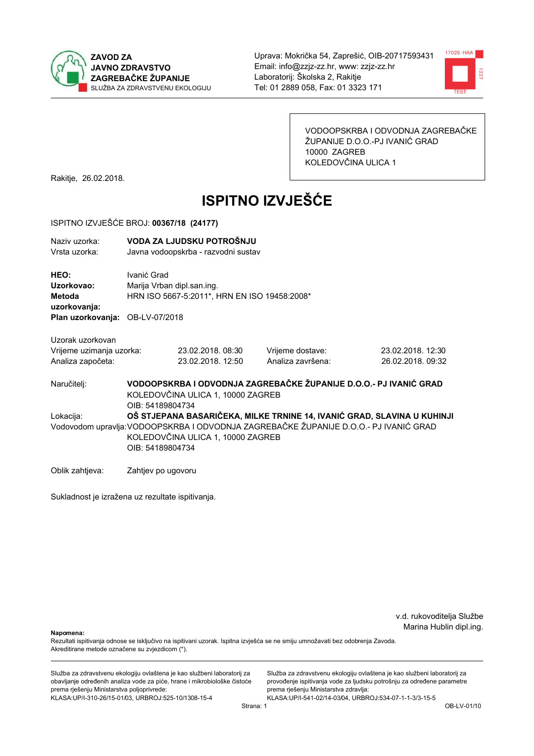



VODOOPSKRBA I ODVODNJA ZAGREBAČKE ŽUPANIJE D.O.O.-PJ IVANIĆ GRAD 10000 ZAGREB KOLEDOVČINA ULICA 1

Rakitje, 26.02.2018.

# **ISPITNO IZVJEŠĆE**

#### ISPITNO IZVJEŠĆE BROJ: 00367/18 (24177)

| Naziv uzorka:<br>Vrsta uzorka:                                                  |                                                                                                                                                                                                                           | VODA ZA LJUDSKU POTROŠNJU<br>Javna vodoopskrba - razvodni sustav           |                   |                                                                   |  |  |
|---------------------------------------------------------------------------------|---------------------------------------------------------------------------------------------------------------------------------------------------------------------------------------------------------------------------|----------------------------------------------------------------------------|-------------------|-------------------------------------------------------------------|--|--|
| HEO:<br>Uzorkovao:<br>Metoda<br>uzorkovanja:<br>Plan uzorkovanja: OB-LV-07/2018 | Ivanić Grad                                                                                                                                                                                                               | Marija Vrban dipl.san.ing.<br>HRN ISO 5667-5:2011*, HRN EN ISO 19458:2008* |                   |                                                                   |  |  |
| Uzorak uzorkovan<br>Vrijeme uzimanja uzorka:                                    |                                                                                                                                                                                                                           | 23.02.2018.08:30                                                           | Vrijeme dostave:  | 23.02.2018. 12:30                                                 |  |  |
| Analiza započeta:                                                               |                                                                                                                                                                                                                           | 23.02.2018. 12:50                                                          | Analiza završena: | 26.02.2018. 09:32                                                 |  |  |
| Naručitelj:                                                                     | OIB: 54189804734                                                                                                                                                                                                          | KOLEDOVČINA ULICA 1, 10000 ZAGREB                                          |                   | VODOOPSKRBA I ODVODNJA ZAGREBAČKE ŽUPANIJE D.O.O.- PJ IVANIĆ GRAD |  |  |
| Lokacija:                                                                       | OŠ STJEPANA BASARIČEKA, MILKE TRNINE 14, IVANIĆ GRAD, SLAVINA U KUHINJI<br>Vodovodom upravlja: VODOOPSKRBA I ODVODNJA ZAGREBAČKE ŽUPANIJE D.O.O.- PJ IVANIĆ GRAD<br>KOLEDOVČINA ULICA 1, 10000 ZAGREB<br>OIB: 54189804734 |                                                                            |                   |                                                                   |  |  |
| Oblik zahtjeva:                                                                 | Zahtjev po ugovoru                                                                                                                                                                                                        |                                                                            |                   |                                                                   |  |  |

Sukladnost je izražena uz rezultate ispitivanja.

v.d. rukovoditelja Službe Marina Hublin dipl.ing.

Napomena:

Rezultati ispitivanja odnose se isključivo na ispitivani uzorak. Ispitna izvješća se ne smiju umnožavati bez odobrenja Zavoda. Akreditirane metode označene su zvjezdicom (\*).

Služba za zdravstvenu ekologiju ovlaštena je kao službeni laboratorij za obavljanje određenih analiza vode za piće, hrane i mikrobiološke čistoće prema rješenju Ministarstva poljoprivrede: KLASA:UP/I-310-26/15-01/03, URBROJ:525-10/1308-15-4

Služba za zdravstvenu ekologiju ovlaštena je kao službeni laboratorij za provođenje ispitivanja vode za ljudsku potrošnju za određene parametre prema rješenju Ministarstva zdravlja: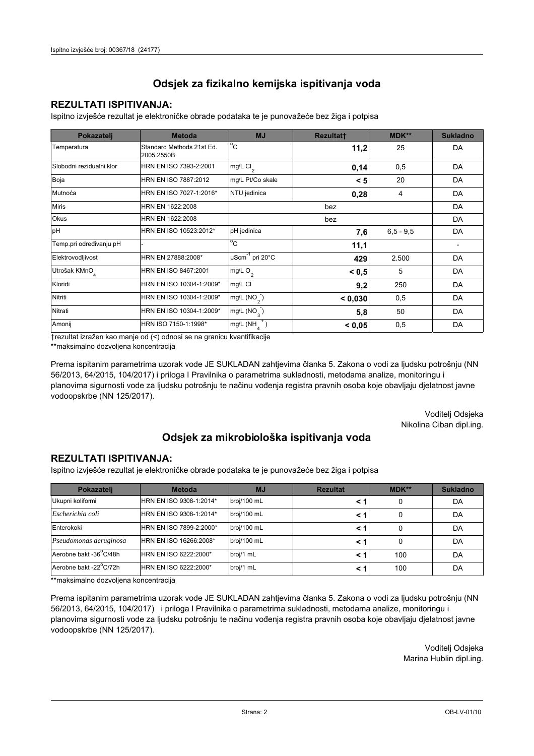### **REZULTATI ISPITIVANJA:**

Ispitno izviešće rezultat je elektroničke obrade podataka te je punovažeće bez žiga i potpisa

| Pokazatelj                | <b>Metoda</b>                           | <b>MJ</b>                        | <b>Rezultatt</b> | <b>MDK**</b>  | <b>Sukladno</b> |
|---------------------------|-----------------------------------------|----------------------------------|------------------|---------------|-----------------|
| Temperatura               | Standard Methods 21st Ed.<br>2005.2550B | $^{\circ}$ C                     | 11,2             | 25            | DA              |
| Slobodni rezidualni klor  | HRN EN ISO 7393-2:2001                  | $mg/L$ Cl <sub>2</sub>           | 0,14             | 0,5           | DA              |
| Boja                      | HRN EN ISO 7887:2012                    | mg/L Pt/Co skale                 | < 5              | 20            | DA              |
| Mutnoća                   | HRN EN ISO 7027-1:2016*                 | NTU jedinica                     | 0,28             | 4             | DA              |
| <b>Miris</b>              | HRN EN 1622:2008                        |                                  |                  | DA            |                 |
| Okus                      | HRN EN 1622:2008                        |                                  |                  | DA            |                 |
| pH                        | HRN EN ISO 10523:2012*                  | pH jedinica                      | 7,6              | $6, 5 - 9, 5$ | DA              |
| Temp.pri određivanju pH   |                                         | $^{\circ}$ C                     | 11,1             |               |                 |
| Elektrovodljivost         | HRN EN 27888:2008*                      | $\mu$ Scm <sup>-1</sup> pri 20°C | 429              | 2.500         | DA              |
| Utrošak KMnO <sub>4</sub> | HRN EN ISO 8467:2001                    | mg/L O <sub>2</sub>              | < 0, 5           | 5             | DA              |
| Kloridi                   | HRN EN ISO 10304-1:2009*                | mg/L CI                          | 9,2              | 250           | DA              |
| Nitriti                   | HRN EN ISO 10304-1:2009*                | mg/L $(NO2)$                     | < 0.030          | 0,5           | DA              |
| Nitrati                   | HRN EN ISO 10304-1:2009*                | mg/L $(NO_{\alpha}^{-})$         | 5,8              | 50            | DA              |
| Amonij                    | HRN ISO 7150-1:1998*                    | mg/L (NH                         | < 0.05           | 0,5           | DA              |

trezultat izražen kao manje od (<) odnosi se na granicu kvantifikacije

\*\*maksimalno dozvoljena koncentracija

Prema ispitanim parametrima uzorak vode JE SUKLADAN zahtjevima članka 5. Zakona o vodi za ljudsku potrošnju (NN 56/2013, 64/2015, 104/2017) i priloga I Pravilnika o parametrima sukladnosti, metodama analize, monitoringu i planovima sigurnosti vode za ljudsku potrošnju te načinu vođenja registra pravnih osoba koje obavljaju djelatnost javne vodoopskrbe (NN 125/2017).

> Voditelj Odsjeka Nikolina Ciban dipl.ing.

## Odsjek za mikrobiološka ispitivanja voda

#### **REZULTATI ISPITIVANJA:**

Ispitno izvješće rezultat je elektroničke obrade podataka te je punovažeće bez žiga i potpisa

| Pokazatelj             | <b>Metoda</b>           | <b>MJ</b>   | <b>Rezultat</b> | MDK** | <b>Sukladno</b> |
|------------------------|-------------------------|-------------|-----------------|-------|-----------------|
| Ukupni kolifomi        | HRN EN ISO 9308-1:2014* | broj/100 mL |                 |       | DA              |
| Escherichia coli       | HRN EN ISO 9308-1:2014* | broj/100 mL | < 1             | 0     | DA              |
| Enterokoki             | HRN EN ISO 7899-2:2000* | broj/100 mL | < '             |       | DA              |
| Pseudomonas aeruginosa | HRN EN ISO 16266:2008*  | broj/100 mL | < 1             | 0     | DA              |
| Aerobne bakt -36 C/48h | HRN EN ISO 6222:2000*   | broj/1 mL   | < '             | 100   | DA              |
| Aerobne bakt -22°C/72h | HRN EN ISO 6222:2000*   | broj/1 mL   |                 | 100   | DA              |

\*\*maksimalno dozvoljena koncentracija

Prema ispitanim parametrima uzorak vode JE SUKLADAN zahtjevima članka 5. Zakona o vodi za ljudsku potrošnju (NN 56/2013, 64/2015, 104/2017) i priloga I Pravilnika o parametrima sukladnosti, metodama analize, monitoringu i planovima sigurnosti vode za ljudsku potrošnju te načinu vođenja registra pravnih osoba koje obavljaju djelatnost javne vodoopskrbe (NN 125/2017).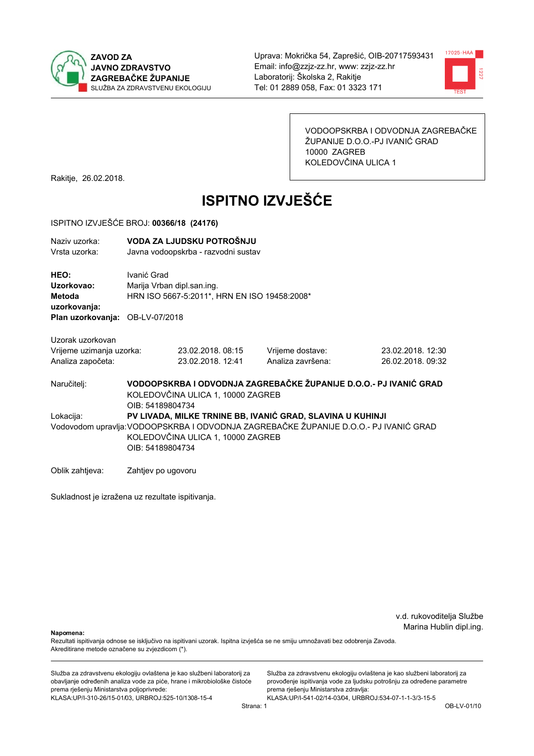



VODOOPSKRBA I ODVODNJA ZAGREBAČKE ŽUPANIJE D.O.O.-PJ IVANIĆ GRAD 10000 ZAGREB KOLEDOVČINA ULICA 1

Rakitje, 26.02.2018.

# **ISPITNO IZVJEŠĆE**

#### ISPITNO IZVJEŠĆE BROJ: 00366/18 (24176)

| Naziv uzorka:<br>Vrsta uzorka:               |                    | VODA ZA LJUDSKU POTROŠNJU<br>Javna vodoopskrba - razvodni sustav           |                                                                                      |                   |
|----------------------------------------------|--------------------|----------------------------------------------------------------------------|--------------------------------------------------------------------------------------|-------------------|
| HEO:<br>Uzorkovao:<br>Metoda<br>uzorkovanja: | Ivanić Grad        | Marija Vrban dipl.san.ing.<br>HRN ISO 5667-5:2011*, HRN EN ISO 19458:2008* |                                                                                      |                   |
| Plan uzorkovanja: OB-LV-07/2018              |                    |                                                                            |                                                                                      |                   |
| Uzorak uzorkovan                             |                    |                                                                            |                                                                                      |                   |
| Vrijeme uzimanja uzorka:                     |                    | 23.02.2018.08:15                                                           | Vrijeme dostave:                                                                     | 23.02.2018. 12:30 |
| Analiza započeta:                            |                    | 23.02.2018. 12:41                                                          | Analiza završena:                                                                    | 26.02.2018. 09:32 |
| Naručitelj:                                  | OIB: 54189804734   | KOLEDOVČINA ULICA 1, 10000 ZAGREB                                          | VODOOPSKRBA I ODVODNJA ZAGREBAČKE ŽUPANIJE D.O.O.- PJ IVANIĆ GRAD                    |                   |
| Lokacija:                                    |                    |                                                                            | PV LIVADA, MILKE TRNINE BB, IVANIĆ GRAD, SLAVINA U KUHINJI                           |                   |
|                                              |                    |                                                                            | Vodovodom upravlja:VODOOPSKRBA I ODVODNJA ZAGREBAČKE ŽUPANIJE D.O.O.- PJ IVANIĆ GRAD |                   |
|                                              |                    | KOLEDOVČINA ULICA 1, 10000 ZAGREB                                          |                                                                                      |                   |
|                                              | OIB: 54189804734   |                                                                            |                                                                                      |                   |
| Oblik zahtjeva:                              | Zahtjev po ugovoru |                                                                            |                                                                                      |                   |

Sukladnost je izražena uz rezultate ispitivanja.

v.d. rukovoditelja Službe Marina Hublin dipl.ing.

Napomena:

Rezultati ispitivanja odnose se isključivo na ispitivani uzorak. Ispitna izvješća se ne smiju umnožavati bez odobrenja Zavoda. Akreditirane metode označene su zvjezdicom (\*).

Služba za zdravstvenu ekologiju ovlaštena je kao službeni laboratorij za obavljanje određenih analiza vode za piće, hrane i mikrobiološke čistoće prema rješenju Ministarstva poljoprivrede: KLASA:UP/I-310-26/15-01/03, URBROJ:525-10/1308-15-4

Služba za zdravstvenu ekologiju ovlaštena je kao službeni laboratorij za provođenje ispitivanja vode za ljudsku potrošnju za određene parametre prema rješenju Ministarstva zdravlja: